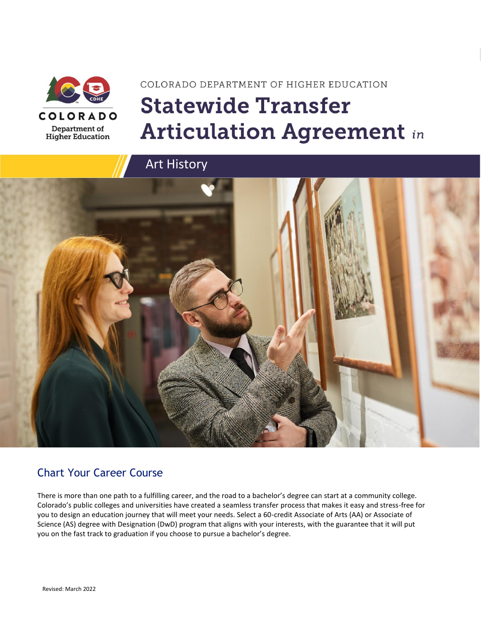

# COLORADO DEPARTMENT OF HIGHER EDUCATION **Statewide Transfer Articulation Agreement in**



### Chart Your Career Course

There is more than one path to a fulfilling career, and the road to a bachelor's degree can start at a community college. Colorado's public colleges and universities have created a seamless transfer process that makes it easy and stress-free for you to design an education journey that will meet your needs. Select a 60-credit Associate of Arts (AA) or Associate of Science (AS) degree with Designation (DwD) program that aligns with your interests, with the guarantee that it will put you on the fast track to graduation if you choose to pursue a bachelor's degree.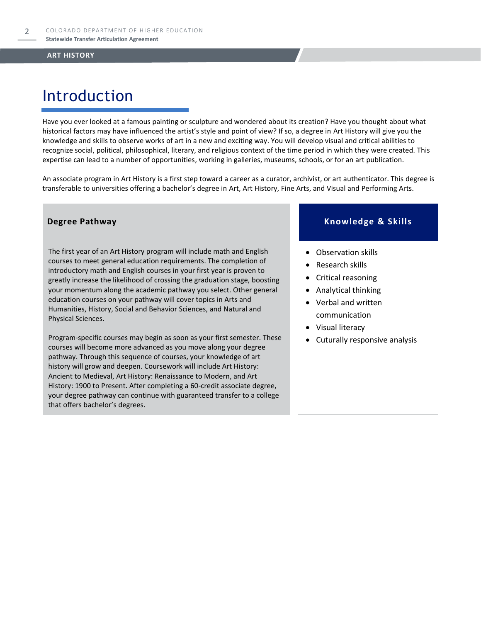## Introduction

Have you ever looked at a famous painting or sculpture and wondered about its creation? Have you thought about what historical factors may have influenced the artist's style and point of view? If so, a degree in Art History will give you the knowledge and skills to observe works of art in a new and exciting way. You will develop visual and critical abilities to recognize social, political, philosophical, literary, and religious context of the time period in which they were created. This expertise can lead to a number of opportunities, working in galleries, museums, schools, or for an art publication.

An associate program in Art History is a first step toward a career as a curator, archivist, or art authenticator. This degree is transferable to universities offering a bachelor's degree in Art, Art History, Fine Arts, and Visual and Performing Arts.

The first year of an Art History program will include math and English courses to meet general education requirements. The completion of introductory math and English courses in your first year is proven to greatly increase the likelihood of crossing the graduation stage, boosting your momentum along the academic pathway you select. Other general education courses on your pathway will cover topics in Arts and Humanities, History, Social and Behavior Sciences, and Natural and Physical Sciences.

Program-specific courses may begin as soon as your first semester. These courses will become more advanced as you move along your degree pathway. Through this sequence of courses, your knowledge of art history will grow and deepen. Coursework will include Art History: Ancient to Medieval, Art History: Renaissance to Modern, and Art History: 1900 to Present. After completing a 60-credit associate degree, your degree pathway can continue with guaranteed transfer to a college that offers bachelor's degrees.

### **Degree Pathway Knowledge & Skills**

- Observation skills
- Research skills
- Critical reasoning
- Analytical thinking
- Verbal and written communication
- Visual literacy
- Cuturally responsive analysis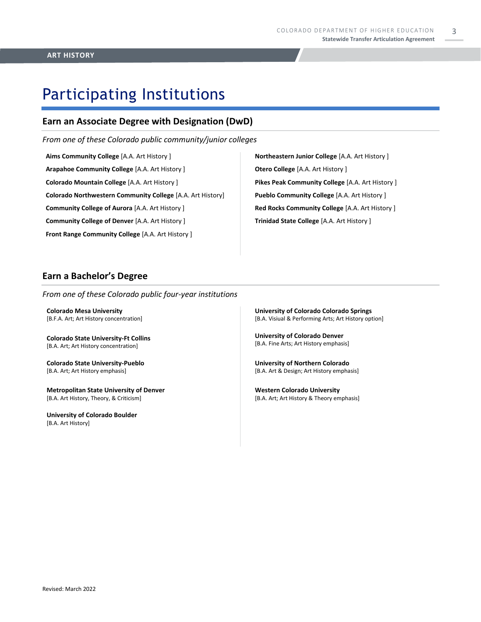3

# Participating Institutions

### **Earn an Associate Degree with Designation (DwD)**

*From one of these Colorado public community/junior colleges*

**Aims Community College** [A.A. Art History ] **Arapahoe Community College** [A.A. Art History ] **Colorado Mountain College** [A.A. Art History ] **Colorado Northwestern Community College** [A.A. Art History] **Community College of Aurora** [A.A. Art History ] **Community College of Denver** [A.A. Art History ] **Front Range Community College** [A.A. Art History ]

**Northeastern Junior College** [A.A. Art History ] **Otero College** [A.A. Art History ] **Pikes Peak Community College** [A.A. Art History ] **Pueblo Community College** [A.A. Art History ] **Red Rocks Community College** [A.A. Art History ] **Trinidad State College** [A.A. Art History ]

### **Earn a Bachelor's Degree**

*From one of these Colorado public four-year institutions*

**Colorado Mesa University**  [B.F.A. Art; Art History concentration]

**Colorado State University-Ft Collins**  [B.A. Art; Art History concentration]

**Colorado State University-Pueblo**  [B.A. Art; Art History emphasis]

**Metropolitan State University of Denver**  [B.A. Art History, Theory, & Criticism]

**University of Colorado Boulder**  [B.A. Art History]

**University of Colorado Colorado Springs** [B.A. Visiual & Performing Arts; Art History option]

**University of Colorado Denver** [B.A. Fine Arts; Art History emphasis]

**University of Northern Colorado** [B.A. Art & Design; Art History emphasis]

**Western Colorado University** [B.A. Art; Art History & Theory emphasis]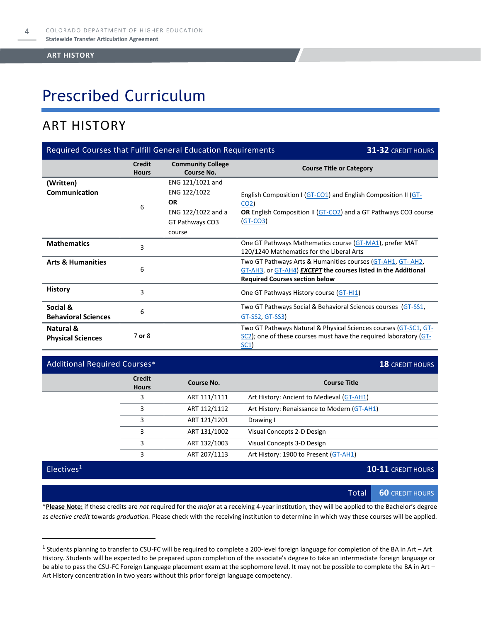## Prescribed Curriculum

### ART HISTORY

| <b>Required Courses that Fulfill General Education Requirements</b><br><b>31-32 CREDIT HOURS</b> |                        |                                                                                                  |                                                                                                                                                                       |  |
|--------------------------------------------------------------------------------------------------|------------------------|--------------------------------------------------------------------------------------------------|-----------------------------------------------------------------------------------------------------------------------------------------------------------------------|--|
|                                                                                                  | Credit<br><b>Hours</b> | <b>Community College</b><br>Course No.                                                           | <b>Course Title or Category</b>                                                                                                                                       |  |
| (Written)<br>Communication                                                                       | 6                      | ENG 121/1021 and<br>ENG 122/1022<br><b>OR</b><br>ENG 122/1022 and a<br>GT Pathways CO3<br>course | English Composition I (GT-CO1) and English Composition II (GT-<br>CO <sub>2</sub><br>OR English Composition II (GT-CO2) and a GT Pathways CO3 course<br>$GT-CO3$      |  |
| <b>Mathematics</b>                                                                               | 3                      |                                                                                                  | One GT Pathways Mathematics course (GT-MA1), prefer MAT<br>120/1240 Mathematics for the Liberal Arts                                                                  |  |
| <b>Arts &amp; Humanities</b>                                                                     | 6                      |                                                                                                  | Two GT Pathways Arts & Humanities courses (GT-AH1, GT-AH2,<br>GT-AH3, or GT-AH4) EXCEPT the courses listed in the Additional<br><b>Required Courses section below</b> |  |
| <b>History</b>                                                                                   | 3                      |                                                                                                  | One GT Pathways History course (GT-HI1)                                                                                                                               |  |
| Social &<br><b>Behavioral Sciences</b>                                                           | 6                      |                                                                                                  | Two GT Pathways Social & Behavioral Sciences courses (GT-SS1,<br>GT-SS2, GT-SS3)                                                                                      |  |
| Natural &<br><b>Physical Sciences</b>                                                            | 7 or 8                 |                                                                                                  | Two GT Pathways Natural & Physical Sciences courses (GT-SC1, GT-<br>SC2); one of these courses must have the required laboratory (GT-<br>SC1)                         |  |

### Additional Required Courses\* **18** CREDIT HOURS **18** CREDIT HOURS

| <b>Credit</b><br><b>Hours</b> | Course No.   | <b>Course Title</b>                         |
|-------------------------------|--------------|---------------------------------------------|
| 3                             | ART 111/1111 | Art History: Ancient to Medieval (GT-AH1)   |
| 3                             | ART 112/1112 | Art History: Renaissance to Modern (GT-AH1) |
| 3                             | ART 121/1201 | Drawing I                                   |
| 3                             | ART 131/1002 | Visual Concepts 2-D Design                  |
| 3                             | ART 132/1003 | Visual Concepts 3-D Design                  |
| 3                             | ART 207/1113 | Art History: 1900 to Present (GT-AH1)       |
|                               |              |                                             |

Electives<sup>1</sup> **10-11** CREDIT HOURS

Total **60** CREDIT HOURS

\***Please Note:** if these credits are *not* required for the *major* at a receiving 4-year institution, they will be applied to the Bachelor's degree as *elective credit* towards *graduation.* Please check with the receiving institution to determine in which way these courses will be applied.

<sup>&</sup>lt;sup>1</sup> Students planning to transfer to CSU-FC will be required to complete a 200-level foreign language for completion of the BA in Art – Art History. Students will be expected to be prepared upon completion of the associate's degree to take an intermediate foreign language or be able to pass the CSU-FC Foreign Language placement exam at the sophomore level. It may not be possible to complete the BA in Art – Art History concentration in two years without this prior foreign language competency.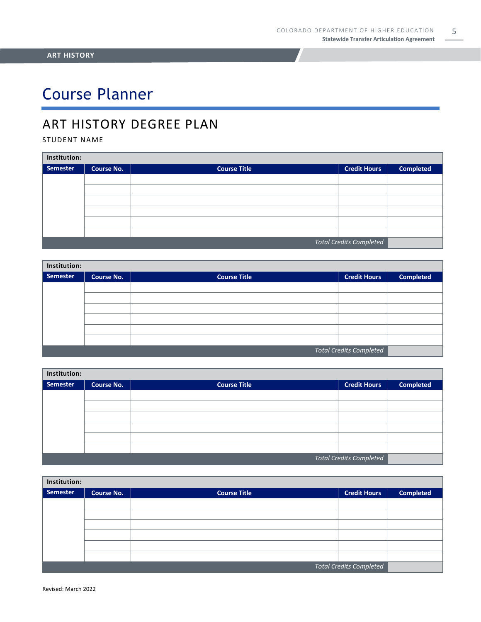5

# Course Planner

### ART HISTORY DEGREE PLAN

### STUDENT NAME

| Institution:                   |                   |                     |                     |                  |  |
|--------------------------------|-------------------|---------------------|---------------------|------------------|--|
| Semester                       | <b>Course No.</b> | <b>Course Title</b> | <b>Credit Hours</b> | <b>Completed</b> |  |
|                                |                   |                     |                     |                  |  |
|                                |                   |                     |                     |                  |  |
|                                |                   |                     |                     |                  |  |
|                                |                   |                     |                     |                  |  |
|                                |                   |                     |                     |                  |  |
|                                |                   |                     |                     |                  |  |
| <b>Total Credits Completed</b> |                   |                     |                     |                  |  |

| Institution:                   |                   |                     |                     |                  |  |
|--------------------------------|-------------------|---------------------|---------------------|------------------|--|
| Semester                       | <b>Course No.</b> | <b>Course Title</b> | <b>Credit Hours</b> | <b>Completed</b> |  |
|                                |                   |                     |                     |                  |  |
|                                |                   |                     |                     |                  |  |
|                                |                   |                     |                     |                  |  |
|                                |                   |                     |                     |                  |  |
|                                |                   |                     |                     |                  |  |
|                                |                   |                     |                     |                  |  |
| <b>Total Credits Completed</b> |                   |                     |                     |                  |  |

| Institution:                   |                   |                     |                     |                  |  |
|--------------------------------|-------------------|---------------------|---------------------|------------------|--|
| Semester                       | <b>Course No.</b> | <b>Course Title</b> | <b>Credit Hours</b> | <b>Completed</b> |  |
|                                |                   |                     |                     |                  |  |
|                                |                   |                     |                     |                  |  |
|                                |                   |                     |                     |                  |  |
|                                |                   |                     |                     |                  |  |
|                                |                   |                     |                     |                  |  |
|                                |                   |                     |                     |                  |  |
| <b>Total Credits Completed</b> |                   |                     |                     |                  |  |

| Institution:                   |                   |                     |                     |                  |  |
|--------------------------------|-------------------|---------------------|---------------------|------------------|--|
| Semester                       | <b>Course No.</b> | <b>Course Title</b> | <b>Credit Hours</b> | <b>Completed</b> |  |
|                                |                   |                     |                     |                  |  |
|                                |                   |                     |                     |                  |  |
|                                |                   |                     |                     |                  |  |
|                                |                   |                     |                     |                  |  |
|                                |                   |                     |                     |                  |  |
|                                |                   |                     |                     |                  |  |
| <b>Total Credits Completed</b> |                   |                     |                     |                  |  |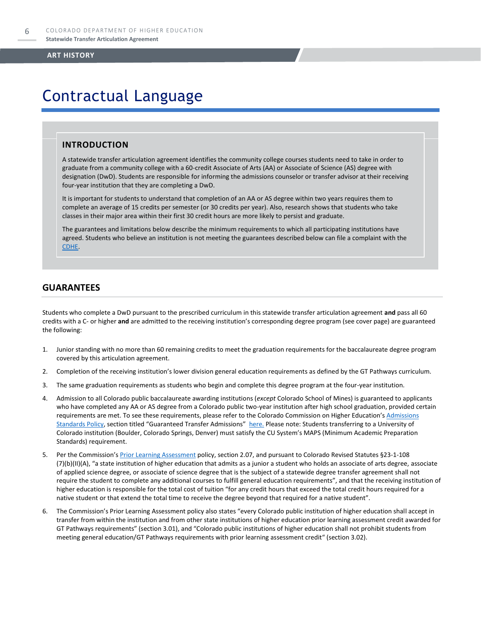### Contractual Language

### **INTRODUCTION**

A statewide transfer articulation agreement identifies the community college courses students need to take in order to graduate from a community college with a 60-credit Associate of Arts (AA) or Associate of Science (AS) degree with designation (DwD). Students are responsible for informing the admissions counselor or transfer advisor at their receiving four-year institution that they are completing a DwD.

It is important for students to understand that completion of an AA or AS degree within two years requires them to complete an average of 15 credits per semester (or 30 credits per year). Also, research shows that students who take classes in their major area within their first 30 credit hours are more likely to persist and graduate.

The guarantees and limitations below describe the minimum requirements to which all participating institutions have agreed. Students who believe an institution is not meeting the guarantees described below can file a complaint with the [CDHE.](https://highered.colorado.gov/filing-student-complaint)

### **GUARANTEES**

Students who complete a DwD pursuant to the prescribed curriculum in this statewide transfer articulation agreement **and** pass all 60 credits with a C- or higher **and** are admitted to the receiving institution's corresponding degree program (see cover page) are guaranteed the following:

- 1. Junior standing with no more than 60 remaining credits to meet the graduation requirements for the baccalaureate degree program covered by this articulation agreement.
- 2. Completion of the receiving institution's lower division general education requirements as defined by the GT Pathways curriculum.
- 3. The same graduation requirements as students who begin and complete this degree program at the four-year institution.
- 4. Admission to all Colorado public baccalaureate awarding institutions (*except* Colorado School of Mines) is guaranteed to applicants who have completed any AA or AS degree from a Colorado public two-year institution after high school graduation, provided certain requirements are met. To see these requirements, please refer to the Colorado Commission on Higher Education's Admissions [Standards Policy](https://highered.colorado.gov/sites/highered/files/2020-03/i-partf_0.pdf), section titled "Guaranteed Transfer Admissions" [here.](https://highered.colorado.gov/educators/policy-funding/cche-policies-procedures) Please note: Students transferring to a University of Colorado institution (Boulder, Colorado Springs, Denver) must satisfy the CU System's MAPS (Minimum Academic Preparation Standards) requirement.
- 5. Per the Commission's **[Prior Learning Assessment](https://highered.colorado.gov/Publications/Policies/Current/i-partx.pdf)** policy, section 2.07, and pursuant to Colorado Revised Statutes §23-1-108 (7)(b)(II)(A), "a state institution of higher education that admits as a junior a student who holds an associate of arts degree, associate of applied science degree, or associate of science degree that is the subject of a statewide degree transfer agreement shall not require the student to complete any additional courses to fulfill general education requirements", and that the receiving institution of higher education is responsible for the total cost of tuition "for any credit hours that exceed the total credit hours required for a native student or that extend the total time to receive the degree beyond that required for a native student".
- 6. The Commission's Prior Learning Assessment policy also states "every Colorado public institution of higher education shall accept in transfer from within the institution and from other state institutions of higher education prior learning assessment credit awarded for GT Pathways requirements" (section 3.01), and "Colorado public institutions of higher education shall not prohibit students from meeting general education/GT Pathways requirements with prior learning assessment credit" (section 3.02).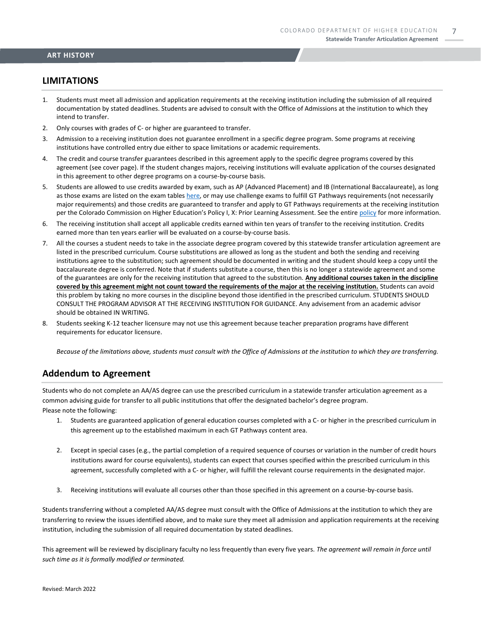### **LIMITATIONS**

- 1. Students must meet all admission and application requirements at the receiving institution including the submission of all required documentation by stated deadlines. Students are advised to consult with the Office of Admissions at the institution to which they intend to transfer.
- 2. Only courses with grades of C- or higher are guaranteed to transfer.
- 3. Admission to a receiving institution does not guarantee enrollment in a specific degree program. Some programs at receiving institutions have controlled entry due either to space limitations or academic requirements.
- 4. The credit and course transfer guarantees described in this agreement apply to the specific degree programs covered by this agreement (see cover page). If the student changes majors, receiving institutions will evaluate application of the courses designated in this agreement to other degree programs on a course-by-course basis.
- 5. Students are allowed to use credits awarded by exam, such as AP (Advanced Placement) and IB (International Baccalaureate), as long as those exams are listed on the exam table[s here,](https://highered.colorado.gov/get-credit-for-what-you-already-know) or may use challenge exams to fulfill GT Pathways requirements (not necessarily major requirements) and those credits are guaranteed to transfer and apply to GT Pathways requirements at the receiving institution per the Colorado Commission on Higher Education's Policy I, X: Prior Learning Assessment. See the entire [policy](https://highered.colorado.gov/Publications/Policies/Current/i-partx.pdf) for more information.
- 6. The receiving institution shall accept all applicable credits earned within ten years of transfer to the receiving institution. Credits earned more than ten years earlier will be evaluated on a course-by-course basis.
- 7. All the courses a student needs to take in the associate degree program covered by this statewide transfer articulation agreement are listed in the prescribed curriculum. Course substitutions are allowed as long as the student and both the sending and receiving institutions agree to the substitution; such agreement should be documented in writing and the student should keep a copy until the baccalaureate degree is conferred. Note that if students substitute a course, then this is no longer a statewide agreement and some of the guarantees are only for the receiving institution that agreed to the substitution. **Any additional courses taken in the discipline covered by this agreement might not count toward the requirements of the major at the receiving institution.** Students can avoid this problem by taking no more courses in the discipline beyond those identified in the prescribed curriculum. STUDENTS SHOULD CONSULT THE PROGRAM ADVISOR AT THE RECEIVING INSTITUTION FOR GUIDANCE. Any advisement from an academic advisor should be obtained IN WRITING.
- 8. Students seeking K-12 teacher licensure may not use this agreement because teacher preparation programs have different requirements for educator licensure.

*Because of the limitations above, students must consult with the Office of Admissions at the institution to which they are transferring.*

### **Addendum to Agreement**

Students who do not complete an AA/AS degree can use the prescribed curriculum in a statewide transfer articulation agreement as a common advising guide for transfer to all public institutions that offer the designated bachelor's degree program. Please note the following:

- 1. Students are guaranteed application of general education courses completed with a C- or higher in the prescribed curriculum in this agreement up to the established maximum in each GT Pathways content area.
- 2. Except in special cases (e.g., the partial completion of a required sequence of courses or variation in the number of credit hours institutions award for course equivalents), students can expect that courses specified within the prescribed curriculum in this agreement, successfully completed with a C- or higher, will fulfill the relevant course requirements in the designated major.
- 3. Receiving institutions will evaluate all courses other than those specified in this agreement on a course-by-course basis.

Students transferring without a completed AA/AS degree must consult with the Office of Admissions at the institution to which they are transferring to review the issues identified above, and to make sure they meet all admission and application requirements at the receiving institution, including the submission of all required documentation by stated deadlines.

This agreement will be reviewed by disciplinary faculty no less frequently than every five years. *The agreement will remain in force until such time as it is formally modified or terminated.*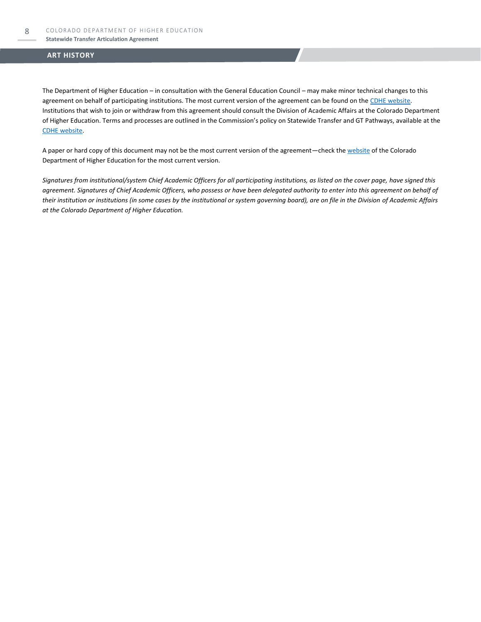The Department of Higher Education – in consultation with the General Education Council – may make minor technical changes to this agreement on behalf of participating institutions. The most current version of the agreement can be found on th[e CDHE website.](https://highered.colorado.gov/transfer-degrees) Institutions that wish to join or withdraw from this agreement should consult the Division of Academic Affairs at the Colorado Department of Higher Education. Terms and processes are outlined in the Commission's policy on Statewide Transfer and GT Pathways, available at the [CDHE website.](https://highered.colorado.gov/educators/policy-funding/general-education-ge-council/gtpathways/transfer-agreements)

A paper or hard copy of this document may not be the most current version of the agreement—check th[e website](https://highered.colorado.gov/transfer-degrees) of the Colorado Department of Higher Education for the most current version.

*Signatures from institutional/system Chief Academic Officers for all participating institutions, as listed on the cover page, have signed this agreement. Signatures of Chief Academic Officers, who possess or have been delegated authority to enter into this agreement on behalf of their institution or institutions (in some cases by the institutional or system governing board), are on file in the Division of Academic Affairs at the Colorado Department of Higher Education.*